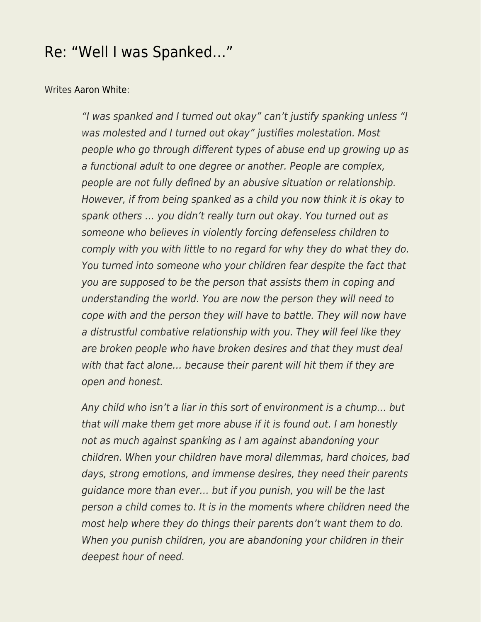## [Re: "Well I was Spanked…"](https://everything-voluntary.com/re-well-i-was-spanked)

## Writes [Aaron White](https://www.facebook.com/aaron.white.56863):

"I was spanked and I turned out okay" can't justify spanking unless "I was molested and I turned out okay" justifies molestation. Most people who go through different types of abuse end up growing up as a functional adult to one degree or another. People are complex, people are not fully defined by an abusive situation or relationship. However, if from being spanked as a child you now think it is okay to spank others … you didn't really turn out okay. You turned out as someone who believes in violently forcing defenseless children to comply with you with little to no regard for why they do what they do. You turned into someone who your children fear despite the fact that you are supposed to be the person that assists them in coping and understanding the world. You are now the person they will need to cope with and the person they will have to battle. They will now have a distrustful combative relationship with you. They will feel like they are broken people who have broken desires and that they must deal with that fact alone... because their parent will hit them if they are open and honest.

Any child who isn't a liar in this sort of environment is a chump… but that will make them get more abuse if it is found out. I am honestly not as much against spanking as I am against abandoning your children. When your children have moral dilemmas, hard choices, bad days, strong emotions, and immense desires, they need their parents guidance more than ever… but if you punish, you will be the last person a child comes to. It is in the moments where children need the most help where they do things their parents don't want them to do. When you punish children, you are abandoning your children in their deepest hour of need.